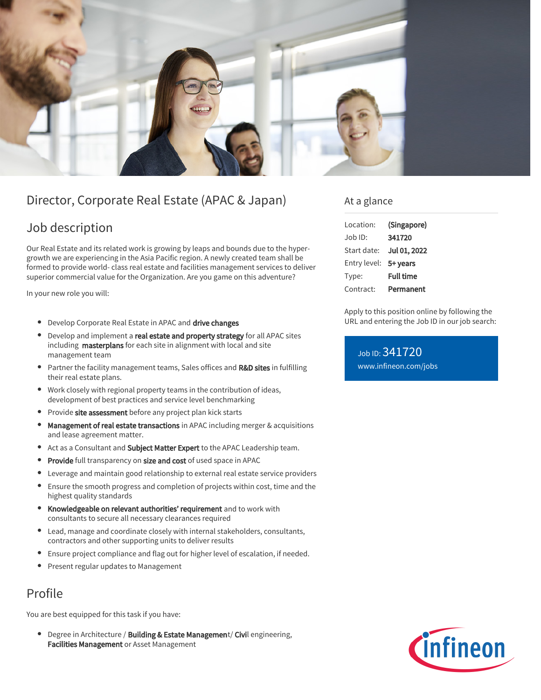

# Director, Corporate Real Estate (APAC & Japan)

## Job description

Our Real Estate and its related work is growing by leaps and bounds due to the hypergrowth we are experiencing in the Asia Pacific region. A newly created team shall be formed to provide world- class real estate and facilities management services to deliver superior commercial value for the Organization. Are you game on this adventure?

In your new role you will:

- **•** Develop Corporate Real Estate in APAC and drive changes
- Develop and implement a real estate and property strategy for all APAC sites including masterplans for each site in alignment with local and site management team
- **Partner the facility management teams, Sales offices and R&D sites in fulfilling** their real estate plans.
- Work closely with regional property teams in the contribution of ideas, development of best practices and service level benchmarking
- Provide site assessment before any project plan kick starts  $\bullet$
- Management of real estate transactions in APAC including merger & acquisitions  $\bullet$ and lease agreement matter.
- Act as a Consultant and Subject Matter Expert to the APAC Leadership team.
- Provide full transparency on size and cost of used space in APAC
- Leverage and maintain good relationship to external real estate service providers  $\bullet$
- $\bullet$ Ensure the smooth progress and completion of projects within cost, time and the highest quality standards
- **Knowledgeable on relevant authorities' requirement** and to work with consultants to secure all necessary clearances required
- Lead, manage and coordinate closely with internal stakeholders, consultants, contractors and other supporting units to deliver results
- Ensure project compliance and flag out for higher level of escalation, if needed.
- Present regular updates to Management

## Profile

You are best equipped for this task if you have:

 $\bullet$ Degree in Architecture / Building & Estate Management/ Civil engineering, Facilities Management or Asset Management

### At a glance

| Location:             | (Singapore)      |
|-----------------------|------------------|
| Job ID:               | 341720           |
| Start date:           | Jul 01, 2022     |
| Entry level: 5+ years |                  |
| Type:                 | <b>Full time</b> |
| Contract:             | Permanent        |

Apply to this position online by following the URL and entering the Job ID in our job search:

Job ID: 341720 [www.infineon.com/jobs](https://www.infineon.com/jobs)